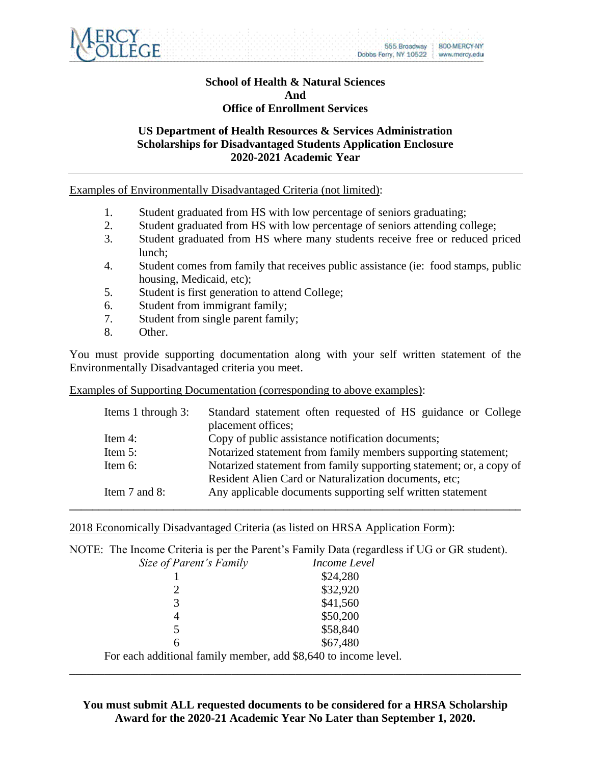

# **School of Health & Natural Sciences And Office of Enrollment Services**

555 Broadway

Dobbs Ferry, NY 10522

**BOO-MERCY-NY** 

www.mercy.edu

# **US Department of Health Resources & Services Administration Scholarships for Disadvantaged Students Application Enclosure 2020-2021 Academic Year**

Examples of Environmentally Disadvantaged Criteria (not limited):

- 1. Student graduated from HS with low percentage of seniors graduating;
- 2. Student graduated from HS with low percentage of seniors attending college;
- 3. Student graduated from HS where many students receive free or reduced priced lunch;
- 4. Student comes from family that receives public assistance (ie: food stamps, public housing, Medicaid, etc);
- 5. Student is first generation to attend College;
- 6. Student from immigrant family;
- 7. Student from single parent family;
- 8. Other.

You must provide supporting documentation along with your self written statement of the Environmentally Disadvantaged criteria you meet.

Examples of Supporting Documentation (corresponding to above examples):

| Items 1 through 3: | Standard statement often requested of HS guidance or College<br>placement offices;                                           |
|--------------------|------------------------------------------------------------------------------------------------------------------------------|
| Item $4$ :         | Copy of public assistance notification documents;                                                                            |
| Item $5$ :         | Notarized statement from family members supporting statement;                                                                |
| Item $6$ :         | Notarized statement from family supporting statement; or, a copy of<br>Resident Alien Card or Naturalization documents, etc; |
| Item $7$ and $8$ : | Any applicable documents supporting self written statement                                                                   |

2018 Economically Disadvantaged Criteria (as listed on HRSA Application Form):

NOTE: The Income Criteria is per the Parent's Family Data (regardless if UG or GR student). *Size of Parent's Family Income Level*  $\begin{array}{c} 1 \\ 2 \end{array}$  \$24,280<br>332,920 2 \$32,920 3 \$41,560 4 \$50,200 5 \$58,840 6  $$67,480$ For each additional family member, add \$8,640 to income level. \_\_\_\_\_\_\_\_\_\_\_\_\_\_\_\_\_\_\_\_\_\_\_\_\_\_\_\_\_\_\_\_\_\_\_\_\_\_\_\_\_\_\_\_\_\_\_\_\_\_\_\_\_\_\_\_\_\_\_\_\_\_\_\_\_\_\_\_\_\_\_\_\_\_\_\_\_\_

**You must submit ALL requested documents to be considered for a HRSA Scholarship Award for the 2020-21 Academic Year No Later than September 1, 2020.**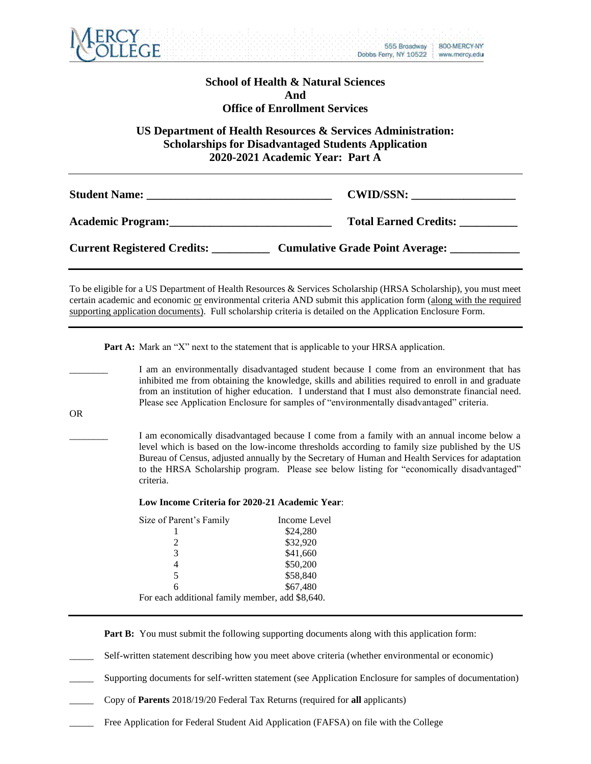

### **School of Health & Natural Sciences And Office of Enrollment Services**

**US Department of Health Resources & Services Administration: Scholarships for Disadvantaged Students Application 2020-2021 Academic Year: Part A**

| <b>Student Name:</b>               | <b>CWID/SSN:</b>                       |
|------------------------------------|----------------------------------------|
| <b>Academic Program:</b>           | <b>Total Earned Credits:</b>           |
| <b>Current Registered Credits:</b> | <b>Cumulative Grade Point Average:</b> |

To be eligible for a US Department of Health Resources & Services Scholarship (HRSA Scholarship), you must meet certain academic and economic or environmental criteria AND submit this application form (along with the required supporting application documents). Full scholarship criteria is detailed on the Application Enclosure Form.

**Part A:** Mark an "X" next to the statement that is applicable to your HRSA application.

I am an environmentally disadvantaged student because I come from an environment that has inhibited me from obtaining the knowledge, skills and abilities required to enroll in and graduate from an institution of higher education. I understand that I must also demonstrate financial need. Please see Application Enclosure for samples of "environmentally disadvantaged" criteria.

I am economically disadvantaged because I come from a family with an annual income below a level which is based on the low-income thresholds according to family size published by the US Bureau of Census, adjusted annually by the Secretary of Human and Health Services for adaptation to the HRSA Scholarship program. Please see below listing for "economically disadvantaged" criteria.

#### **Low Income Criteria for 2020-21 Academic Year**:

OR

| Size of Parent's Family                         | Income Level |  |
|-------------------------------------------------|--------------|--|
|                                                 | \$24,280     |  |
| $\mathcal{D}_{\mathcal{L}}$                     | \$32,920     |  |
| 3                                               | \$41,660     |  |
| 4                                               | \$50,200     |  |
| 5                                               | \$58,840     |  |
| 6                                               | \$67,480     |  |
| For each additional family member, add \$8,640. |              |  |

**Part B:** You must submit the following supporting documents along with this application form:

Self-written statement describing how you meet above criteria (whether environmental or economic)

- \_\_\_\_\_ Supporting documents for self-written statement (see Application Enclosure for samples of documentation)
- \_\_\_\_\_ Copy of **Parents** 2018/19/20 Federal Tax Returns (required for **all** applicants)
- Free Application for Federal Student Aid Application (FAFSA) on file with the College